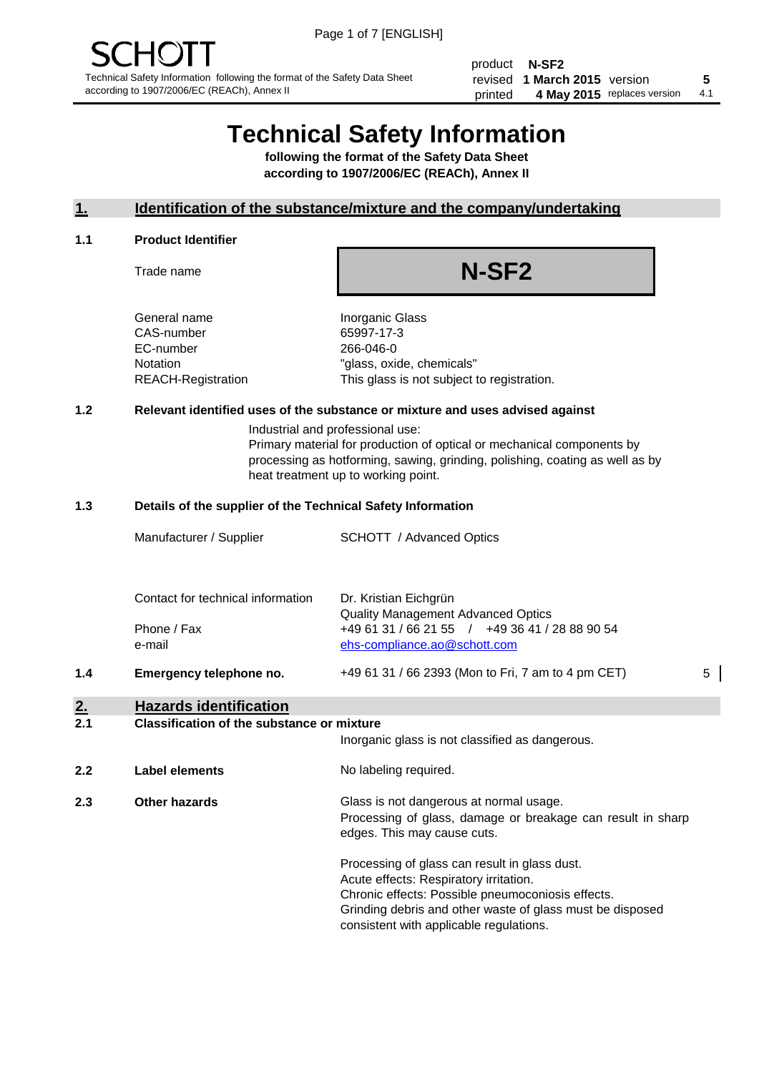product **N-SF2** revised **5 1 March 2015** version printed 4 May 2015 replaces version 4.1

# **Technical Safety Information**

**following the format of the Safety Data Sheet according to 1907/2006/EC (REACh), Annex II**

# **1. Identification of the substance/mixture and the company/undertaking**

#### **1.1 Product Identifier**

Trade name

# **N-SF2**

General name **Inorganic Glass** CAS-number 65997-17-3 EC-number 266-046-0

Notation "glass, oxide, chemicals" REACH-Registration This glass is not subject to registration.

# **1.2 Relevant identified uses of the substance or mixture and uses advised against**

Industrial and professional use: Primary material for production of optical or mechanical components by processing as hotforming, sawing, grinding, polishing, coating as well as by heat treatment up to working point.

#### **1.3 Details of the supplier of the Technical Safety Information**

| 2.  | <b>Hazards identification</b>     |                                                                                |   |
|-----|-----------------------------------|--------------------------------------------------------------------------------|---|
| 1.4 | Emergency telephone no.           | +49 61 31 / 66 2393 (Mon to Fri, 7 am to 4 pm CET)                             | 5 |
|     | Phone / Fax<br>e-mail             | +49 61 31 / 66 21 55 / +49 36 41 / 28 88 90 54<br>ehs-compliance.ao@schott.com |   |
|     | Contact for technical information | Dr. Kristian Eichgrün<br><b>Quality Management Advanced Optics</b>             |   |
|     | Manufacturer / Supplier           | <b>SCHOTT</b> / Advanced Optics                                                |   |
|     |                                   |                                                                                |   |

#### **2.1 Classification of the substance or mixture**

|     |                      | Inorganic glass is not classified as dangerous.                                                                                                                                                                                                      |
|-----|----------------------|------------------------------------------------------------------------------------------------------------------------------------------------------------------------------------------------------------------------------------------------------|
| 2.2 | Label elements       | No labeling required.                                                                                                                                                                                                                                |
| 2.3 | <b>Other hazards</b> | Glass is not dangerous at normal usage.<br>Processing of glass, damage or breakage can result in sharp<br>edges. This may cause cuts.                                                                                                                |
|     |                      | Processing of glass can result in glass dust.<br>Acute effects: Respiratory irritation.<br>Chronic effects: Possible pneumoconiosis effects.<br>Grinding debris and other waste of glass must be disposed<br>consistent with applicable regulations. |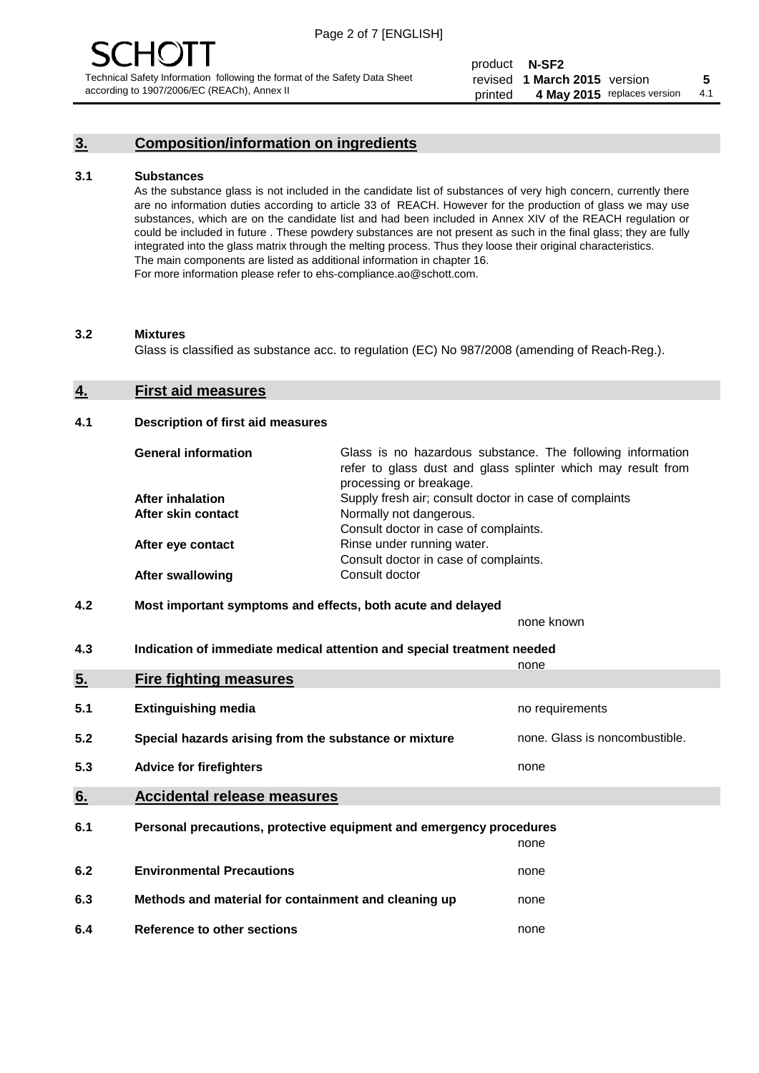# **3. Composition/information on ingredients**

#### **3.1 Substances**

As the substance glass is not included in the candidate list of substances of very high concern, currently there are no information duties according to article 33 of REACH. However for the production of glass we may use substances, which are on the candidate list and had been included in Annex XIV of the REACH regulation or could be included in future . These powdery substances are not present as such in the final glass; they are fully integrated into the glass matrix through the melting process. Thus they loose their original characteristics. The main components are listed as additional information in chapter 16. For more information please refer to ehs-compliance.ao@schott.com.

#### **3.2 Mixtures**

Glass is classified as substance acc. to regulation (EC) No 987/2008 (amending of Reach-Reg.).

#### **4. First aid measures**

#### **4.1 Description of first aid measures**

| <b>General information</b> | Glass is no hazardous substance. The following information<br>refer to glass dust and glass splinter which may result from<br>processing or breakage. |  |  |
|----------------------------|-------------------------------------------------------------------------------------------------------------------------------------------------------|--|--|
| <b>After inhalation</b>    | Supply fresh air; consult doctor in case of complaints                                                                                                |  |  |
| After skin contact         | Normally not dangerous.                                                                                                                               |  |  |
|                            | Consult doctor in case of complaints.                                                                                                                 |  |  |
| After eye contact          | Rinse under running water.                                                                                                                            |  |  |
|                            | Consult doctor in case of complaints.                                                                                                                 |  |  |
| <b>After swallowing</b>    | Consult doctor                                                                                                                                        |  |  |

#### **4.2 Most important symptoms and effects, both acute and delayed**

none known

**4.3 Indication of immediate medical attention and special treatment needed** 

|     |                                                                     | none                           |
|-----|---------------------------------------------------------------------|--------------------------------|
| 5.  | <b>Fire fighting measures</b>                                       |                                |
| 5.1 | <b>Extinguishing media</b>                                          | no requirements                |
| 5.2 | Special hazards arising from the substance or mixture               | none. Glass is noncombustible. |
| 5.3 | <b>Advice for firefighters</b>                                      | none                           |
| 6.  | <b>Accidental release measures</b>                                  |                                |
| 6.1 | Personal precautions, protective equipment and emergency procedures |                                |
|     |                                                                     | none                           |
| 6.2 | <b>Environmental Precautions</b>                                    | none                           |
| 6.3 | Methods and material for containment and cleaning up                | none                           |
| 6.4 | Reference to other sections                                         | none                           |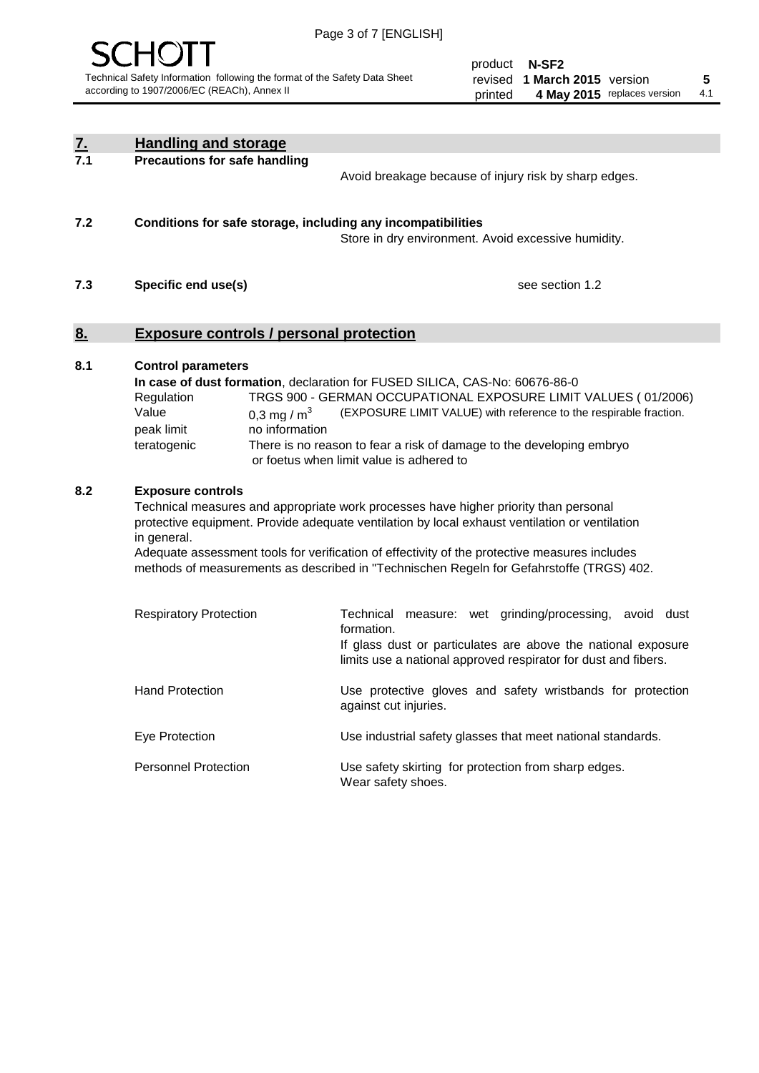

product **N-SF2** revised **5 1 March 2015** version printed 4 May 2015 replaces version 4.1

| <u>7.</u>         | <b>Handling and storage</b>                                                                                      |                                                                                                                                                                                                                                                                                                                                                                                     |
|-------------------|------------------------------------------------------------------------------------------------------------------|-------------------------------------------------------------------------------------------------------------------------------------------------------------------------------------------------------------------------------------------------------------------------------------------------------------------------------------------------------------------------------------|
| 7.1               | <b>Precautions for safe handling</b>                                                                             | Avoid breakage because of injury risk by sharp edges.                                                                                                                                                                                                                                                                                                                               |
| 7.2               | Conditions for safe storage, including any incompatibilities                                                     | Store in dry environment. Avoid excessive humidity.                                                                                                                                                                                                                                                                                                                                 |
| 7.3               | Specific end use(s)                                                                                              | see section 1.2                                                                                                                                                                                                                                                                                                                                                                     |
| $\underline{8}$ . | <b>Exposure controls / personal protection</b>                                                                   |                                                                                                                                                                                                                                                                                                                                                                                     |
| 8.1               | <b>Control parameters</b><br>Regulation<br>Value<br>0,3 mg / $m3$<br>no information<br>peak limit<br>teratogenic | In case of dust formation, declaration for FUSED SILICA, CAS-No: 60676-86-0<br>TRGS 900 - GERMAN OCCUPATIONAL EXPOSURE LIMIT VALUES (01/2006)<br>(EXPOSURE LIMIT VALUE) with reference to the respirable fraction.<br>There is no reason to fear a risk of damage to the developing embryo<br>or foetus when limit value is adhered to                                              |
| 8.2               | <b>Exposure controls</b><br>in general.                                                                          | Technical measures and appropriate work processes have higher priority than personal<br>protective equipment. Provide adequate ventilation by local exhaust ventilation or ventilation<br>Adequate assessment tools for verification of effectivity of the protective measures includes<br>methods of measurements as described in "Technischen Regeln for Gefahrstoffe (TRGS) 402. |
|                   | <b>Respiratory Protection</b>                                                                                    | measure: wet grinding/processing, avoid dust<br>Technical<br>formation.<br>If glass dust or particulates are above the national exposure<br>limits use a national approved respirator for dust and fibers.                                                                                                                                                                          |
|                   | <b>Hand Protection</b>                                                                                           | Use protective gloves and safety wristbands for protection<br>against cut injuries.                                                                                                                                                                                                                                                                                                 |
|                   | Eye Protection                                                                                                   | Use industrial safety glasses that meet national standards.                                                                                                                                                                                                                                                                                                                         |
|                   | <b>Personnel Protection</b>                                                                                      | Use safety skirting for protection from sharp edges.<br>Wear safety shoes.                                                                                                                                                                                                                                                                                                          |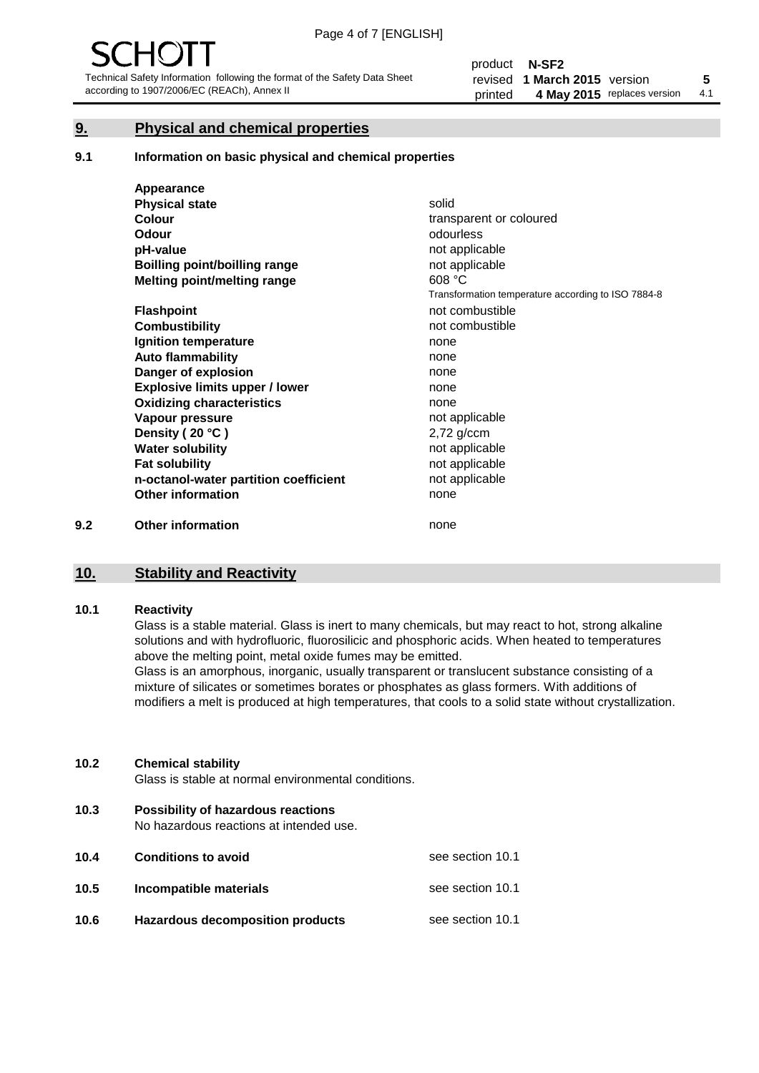# **9. Physical and chemical properties**

#### **9.1 Information on basic physical and chemical properties**

|     | Appearance                            |                                                    |
|-----|---------------------------------------|----------------------------------------------------|
|     | <b>Physical state</b>                 | solid                                              |
|     | <b>Colour</b>                         | transparent or coloured                            |
|     | <b>Odour</b>                          | odourless                                          |
|     | pH-value                              | not applicable                                     |
|     | Boilling point/boilling range         | not applicable                                     |
|     | Melting point/melting range           | 608 °C                                             |
|     |                                       | Transformation temperature according to ISO 7884-8 |
|     | <b>Flashpoint</b>                     | not combustible                                    |
|     | <b>Combustibility</b>                 | not combustible                                    |
|     | Ignition temperature                  | none                                               |
|     | <b>Auto flammability</b>              | none                                               |
|     | Danger of explosion                   | none                                               |
|     | <b>Explosive limits upper / lower</b> | none                                               |
|     | <b>Oxidizing characteristics</b>      | none                                               |
|     | Vapour pressure                       | not applicable                                     |
|     | Density (20 °C)                       | $2,72$ g/ccm                                       |
|     | <b>Water solubility</b>               | not applicable                                     |
|     | <b>Fat solubility</b>                 | not applicable                                     |
|     | n-octanol-water partition coefficient | not applicable                                     |
|     | <b>Other information</b>              | none                                               |
| 9.2 | <b>Other information</b>              | none                                               |

### **10. Stability and Reactivity**

#### **10.1 Reactivity**

Glass is a stable material. Glass is inert to many chemicals, but may react to hot, strong alkaline solutions and with hydrofluoric, fluorosilicic and phosphoric acids. When heated to temperatures above the melting point, metal oxide fumes may be emitted.

Glass is an amorphous, inorganic, usually transparent or translucent substance consisting of a mixture of silicates or sometimes borates or phosphates as glass formers. With additions of modifiers a melt is produced at high temperatures, that cools to a solid state without crystallization.

#### **10.2 Chemical stability**

Glass is stable at normal environmental conditions.

**10.3 Possibility of hazardous reactions** 

No hazardous reactions at intended use.

| 10.4 | <b>Conditions to avoid</b>       | see section 10.1 |
|------|----------------------------------|------------------|
| 10.5 | Incompatible materials           | see section 10.1 |
| 10.6 | Hazardous decomposition products | see section 10.1 |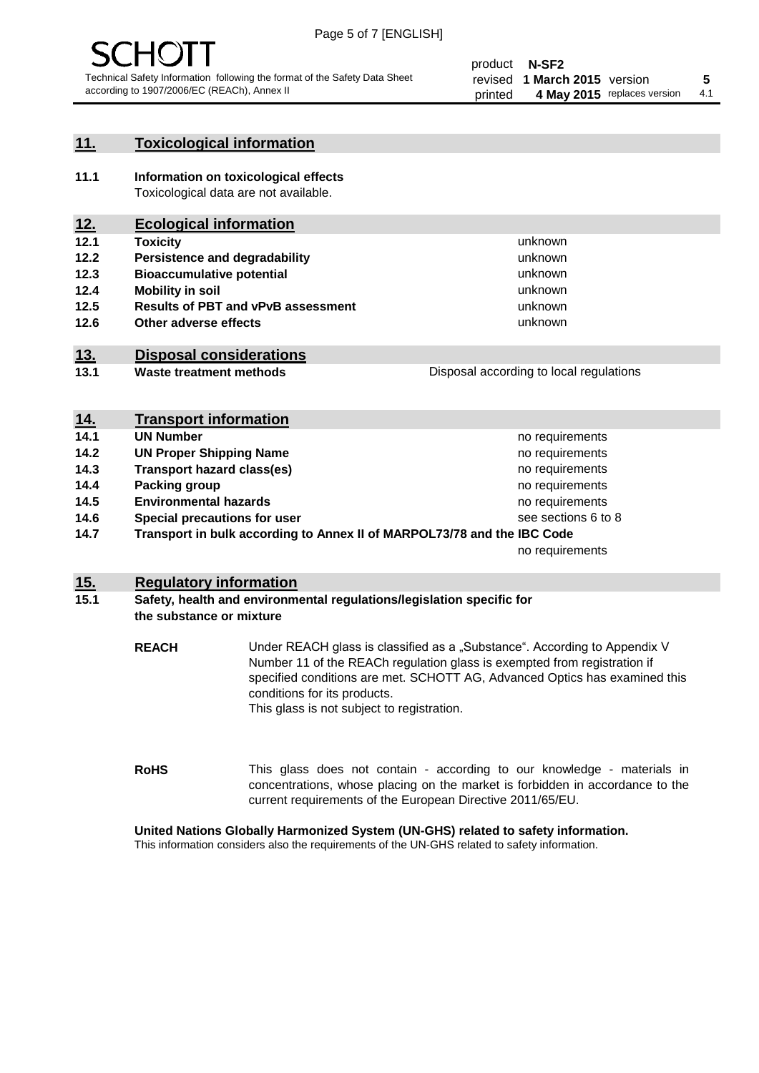

# **11. Toxicological information**

**11.1 Information on toxicological effects** Toxicological data are not available.

# **12. Ecological information**

- **12.1 Toxicity**
- **12.2 Persistence and degradability**
- **12.3 Bioaccumulative potential**
- **12.4 Mobility in soil**
- **12.5 Results of PBT and vPvB assessment**
- **12.6 Other adverse effects**

# **13. Disposal considerations**

**13.1 Waste treatment methods**

Disposal according to local regulations

unknown unknown unknown unknown

unknown unknown

| <u>14.</u> | <b>Transport information</b>                                            |                     |
|------------|-------------------------------------------------------------------------|---------------------|
| 14.1       | <b>UN Number</b>                                                        | no requirements     |
| 14.2       | <b>UN Proper Shipping Name</b>                                          | no requirements     |
| 14.3       | <b>Transport hazard class(es)</b>                                       | no requirements     |
| 14.4       | Packing group                                                           | no requirements     |
| 14.5       | <b>Environmental hazards</b>                                            | no requirements     |
| 14.6       | Special precautions for user                                            | see sections 6 to 8 |
| 14.7       | Transport in bulk according to Annex II of MARPOL73/78 and the IBC Code |                     |
|            |                                                                         | no requirements     |

### **15. Regulatory information**

#### **15.1 Safety, health and environmental regulations/legislation specific for the substance or mixture**

**REACH** Under REACH glass is classified as a "Substance". According to Appendix V Number 11 of the REACh regulation glass is exempted from registration if specified conditions are met. SCHOTT AG, Advanced Optics has examined this conditions for its products. This glass is not subject to registration.

**RoHS** This glass does not contain - according to our knowledge - materials in concentrations, whose placing on the market is forbidden in accordance to the current requirements of the European Directive 2011/65/EU.

### **United Nations Globally Harmonized System (UN-GHS) related to safety information.**

This information considers also the requirements of the UN-GHS related to safety information.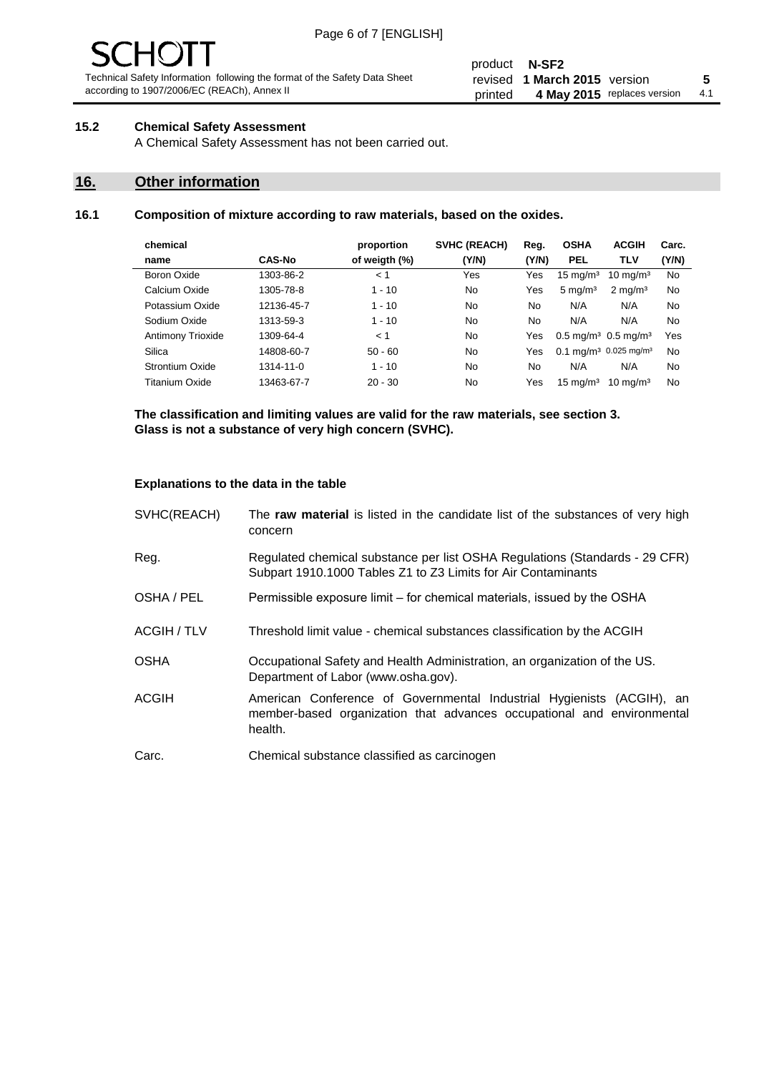# **15.2 Chemical Safety Assessment**

A Chemical Safety Assessment has not been carried out.

# **16. Other information**

#### **16.1 Composition of mixture according to raw materials, based on the oxides.**

| chemical           |               | proportion    | <b>SVHC (REACH)</b> | Reg.  | <b>OSHA</b>                                   | <b>ACGIH</b>        | Carc. |
|--------------------|---------------|---------------|---------------------|-------|-----------------------------------------------|---------------------|-------|
| name               | <b>CAS-No</b> | of weigth (%) | (Y/N)               | (Y/N) | <b>PEL</b>                                    | TLV                 | (Y/N) |
| <b>Boron Oxide</b> | 1303-86-2     | < 1           | Yes                 | Yes   | $15 \text{ mg/m}^3$                           | $10 \text{ mg/m}^3$ | No    |
| Calcium Oxide      | 1305-78-8     | $1 - 10$      | No                  | Yes   | $5 \text{ mg/m}^3$                            | $2 \text{ mg/m}^3$  | No    |
| Potassium Oxide    | 12136-45-7    | $1 - 10$      | No                  | No.   | N/A                                           | N/A                 | No    |
| Sodium Oxide       | 1313-59-3     | $1 - 10$      | No                  | No    | N/A                                           | N/A                 | No    |
| Antimony Trioxide  | 1309-64-4     | < 1           | No                  | Yes   | $0.5 \,\mathrm{mq/m^3}$ 0.5 mg/m <sup>3</sup> |                     | Yes   |
| Silica             | 14808-60-7    | $50 - 60$     | No                  | Yes   | 0.1 mg/m <sup>3</sup> 0.025 mg/m <sup>3</sup> |                     | No    |
| Strontium Oxide    | 1314-11-0     | $1 - 10$      | No                  | No    | N/A                                           | N/A                 | No    |
| Titanium Oxide     | 13463-67-7    | $20 - 30$     | No                  | Yes   | $15 \text{ mg/m}^3$                           | $10 \text{ ma/m}^3$ | No    |
|                    |               |               |                     |       |                                               |                     |       |

**The classification and limiting values are valid for the raw materials, see section 3. Glass is not a substance of very high concern (SVHC).**

#### **Explanations to the data in the table**

| SVHC(REACH)        | The raw material is listed in the candidate list of the substances of very high<br>concern                                                                 |
|--------------------|------------------------------------------------------------------------------------------------------------------------------------------------------------|
| Reg.               | Regulated chemical substance per list OSHA Regulations (Standards - 29 CFR)<br>Subpart 1910.1000 Tables Z1 to Z3 Limits for Air Contaminants               |
| OSHA / PEL         | Permissible exposure limit – for chemical materials, issued by the OSHA                                                                                    |
| <b>ACGIH / TLV</b> | Threshold limit value - chemical substances classification by the ACGIH                                                                                    |
| <b>OSHA</b>        | Occupational Safety and Health Administration, an organization of the US.<br>Department of Labor (www.osha.gov).                                           |
| <b>ACGIH</b>       | American Conference of Governmental Industrial Hygienists (ACGIH), an<br>member-based organization that advances occupational and environmental<br>health. |
| Carc.              | Chemical substance classified as carcinogen                                                                                                                |